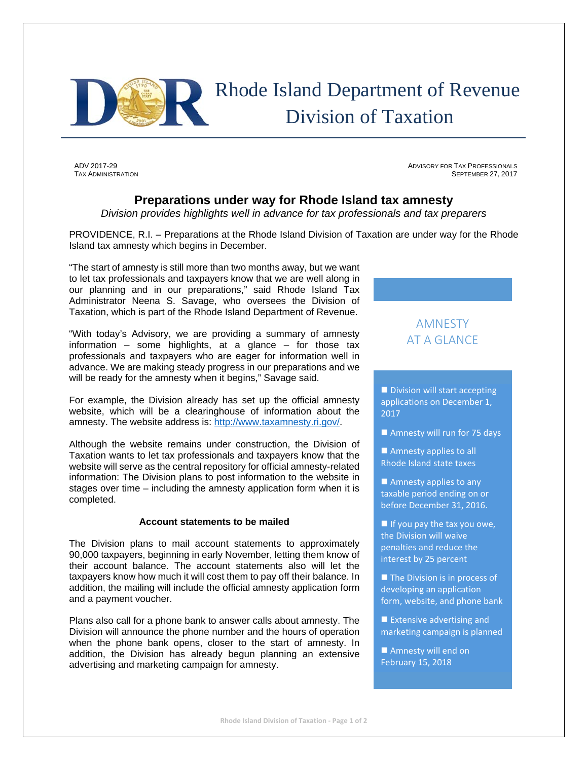

# Rhode Island Department of Revenue Division of Taxation

ADV 2017-29 ADVISORY FOR TAX PROFESSIONALS **TAX ADMINISTRATION** SEPTEMBER 27, 2017

### **Preparations under way for Rhode Island tax amnesty**

*Division provides highlights well in advance for tax professionals and tax preparers*

PROVIDENCE, R.I. – Preparations at the Rhode Island Division of Taxation are under way for the Rhode Island tax amnesty which begins in December.

"The start of amnesty is still more than two months away, but we want to let tax professionals and taxpayers know that we are well along in our planning and in our preparations," said Rhode Island Tax Administrator Neena S. Savage, who oversees the Division of Taxation, which is part of the Rhode Island Department of Revenue.

"With today's Advisory, we are providing a summary of amnesty information – some highlights, at a glance – for those tax professionals and taxpayers who are eager for information well in advance. We are making steady progress in our preparations and we will be ready for the amnesty when it begins," Savage said.

For example, the Division already has set up the official amnesty website, which will be a clearinghouse of information about the amnesty. The website address is: http://www.taxamnesty.ri.gov/.

Although the website remains under construction, the Division of Taxation wants to let tax professionals and taxpayers know that the website will serve as the central repository for official amnesty-related information: The Division plans to post information to the website in stages over time – including the amnesty application form when it is completed.

#### **Account statements to be mailed**

The Division plans to mail account statements to approximately 90,000 taxpayers, beginning in early November, letting them know of their account balance. The account statements also will let the taxpayers know how much it will cost them to pay off their balance. In addition, the mailing will include the official amnesty application form and a payment voucher.

Plans also call for a phone bank to answer calls about amnesty. The Division will announce the phone number and the hours of operation when the phone bank opens, closer to the start of amnesty. In addition, the Division has already begun planning an extensive advertising and marketing campaign for amnesty.

## AMNESTY AT A GLANCE

Division will start accepting applications on December 1, 2017

Amnesty will run for 75 days

Amnesty applies to all Rhode Island state taxes

Amnesty applies to any taxable period ending on or before December 31, 2016.

If you pay the tax you owe, the Division will waive penalties and reduce the interest by 25 percent

The Division is in process of developing an application form, website, and phone bank

 $\blacksquare$  Extensive advertising and marketing campaign is planned

**Amnesty will end on** February 15, 2018